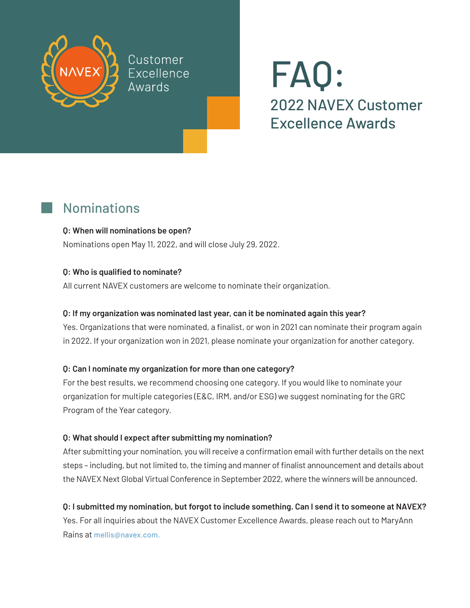

Customer Excellence Awards

# FAQ: 2022 NAVEX Customer Excellence Awards

## Nominations

#### **Q: When will nominations be open?**

Nominations open May 11, 2022, and will close July 29, 2022.

#### **Q: Who is qualified to nominate?**

All current NAVEX customers are welcome to nominate their organization.

#### **Q: If my organization was nominated last year, can it be nominated again this year?**

Yes. Organizations that were nominated, a finalist, or won in 2021 can nominate their program again in 2022. If your organization won in 2021, please nominate your organization for another category.

#### **Q: Can I nominate my organization for more than one category?**

For the best results, we recommend choosing one category. If you would like to nominate your organization for multiple categories (E&C, IRM, and/or ESG) we suggest nominating for the GRC Program of the Year category.

#### **Q: What should I expect after submitting my nomination?**

After submitting your nomination, you will receive a confirmation email with further details on the next steps – including, but not limited to, the timing and manner of finalist announcement and details about the NAVEX Next Global Virtual Conference in September 2022, where the winners will be announced.

### **Q: I submitted my nomination, but forgot to include something. Can I send it to someone at NAVEX?**

Yes. For all inquiries about the NAVEX Customer Excellence Awards, please reach out to MaryAnn Rains at [mellis@navex.com.](mailto:mellis%40navex.com?subject=NAVEX%20Customer%20Excellence%20Awards%20Inquiry)